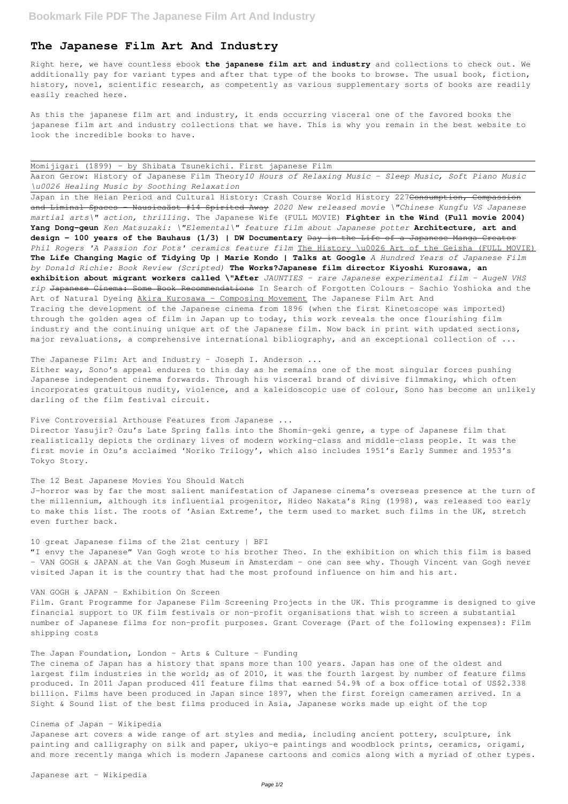# **The Japanese Film Art And Industry**

Right here, we have countless ebook **the japanese film art and industry** and collections to check out. We additionally pay for variant types and after that type of the books to browse. The usual book, fiction, history, novel, scientific research, as competently as various supplementary sorts of books are readily easily reached here.

As this the japanese film art and industry, it ends occurring visceral one of the favored books the japanese film art and industry collections that we have. This is why you remain in the best website to look the incredible books to have.

| Momijigari (1899) - by Shibata Tsunekichi. First japanese Film |  |  |  |  |  |  |
|----------------------------------------------------------------|--|--|--|--|--|--|
|----------------------------------------------------------------|--|--|--|--|--|--|

Aaron Gerow: History of Japanese Film Theory*10 Hours of Relaxing Music - Sleep Music, Soft Piano Music \u0026 Healing Music by Soothing Relaxation*

Japan in the Heian Period and Cultural History: Crash Course World History 227<del>Consumption, Compassion</del> and Liminal Spaces - Nausicaäst #14 Spirited Away *2020 New released movie \"Chinese Kungfu VS Japanese martial arts\" action, thrilling.* The Japanese Wife (FULL MOVIE) **Fighter in the Wind (Full movie 2004) Yang Dong-geun** *Ken Matsuzaki: \"Elemental\" feature film about Japanese potter* **Architecture, art and design - 100 years of the Bauhaus (1/3) | DW Documentary** Day in the Life of a Japanese Manga Creator *Phil Rogers 'A Passion for Pots' ceramics feature film* The History \u0026 Art of the Geisha (FULL MOVIE) **The Life Changing Magic of Tidying Up | Marie Kondo | Talks at Google** *A Hundred Years of Japanese Film by Donald Richie: Book Review (Scripted)* **The Works?Japanese film director Kiyoshi Kurosawa, an exhibition about migrant workers called \"After** *JAUNTIES - rare Japanese experimental film - AugeN VHS rip* Japanese Cinema: Some Book Recommendations In Search of Forgotten Colours - Sachio Yoshioka and the Art of Natural Dyeing Akira Kurosawa - Composing Movement The Japanese Film Art And Tracing the development of the Japanese cinema from 1896 (when the first Kinetoscope was imported) through the golden ages of film in Japan up to today, this work reveals the once flourishing film industry and the continuing unique art of the Japanese film. Now back in print with updated sections, major revaluations, a comprehensive international bibliography, and an exceptional collection of ...

The Japanese Film: Art and Industry - Joseph I. Anderson ...

Either way, Sono's appeal endures to this day as he remains one of the most singular forces pushing Japanese independent cinema forwards. Through his visceral brand of divisive filmmaking, which often incorporates gratuitous nudity, violence, and a kaleidoscopic use of colour, Sono has become an unlikely darling of the film festival circuit.

## Five Controversial Arthouse Features from Japanese ...

Director Yasujir? Ozu's Late Spring falls into the Shomin-geki genre, a type of Japanese film that realistically depicts the ordinary lives of modern working-class and middle-class people. It was the first movie in Ozu's acclaimed 'Noriko Trilogy', which also includes 1951's Early Summer and 1953's Tokyo Story.

### The 12 Best Japanese Movies You Should Watch

J-horror was by far the most salient manifestation of Japanese cinema's overseas presence at the turn of the millennium, although its influential progenitor, Hideo Nakata's Ring (1998), was released too early to make this list. The roots of 'Asian Extreme', the term used to market such films in the UK, stretch even further back.

### 10 great Japanese films of the 21st century | BFI

"I envy the Japanese" Van Gogh wrote to his brother Theo. In the exhibition on which this film is based – VAN GOGH & JAPAN at the Van Gogh Museum in Amsterdam – one can see why. Though Vincent van Gogh never visited Japan it is the country that had the most profound influence on him and his art.

## VAN GOGH & JAPAN - Exhibition On Screen

Film. Grant Programme for Japanese Film Screening Projects in the UK. This programme is designed to give

financial support to UK film festivals or non-profit organisations that wish to screen a substantial number of Japanese films for non-profit purposes. Grant Coverage (Part of the following expenses): Film shipping costs

The Japan Foundation, London - Arts & Culture - Funding

The cinema of Japan has a history that spans more than 100 years. Japan has one of the oldest and largest film industries in the world; as of 2010, it was the fourth largest by number of feature films produced. In 2011 Japan produced 411 feature films that earned 54.9% of a box office total of US\$2.338 billion. Films have been produced in Japan since 1897, when the first foreign cameramen arrived. In a Sight & Sound list of the best films produced in Asia, Japanese works made up eight of the top

Cinema of Japan - Wikipedia

Japanese art covers a wide range of art styles and media, including ancient pottery, sculpture, ink painting and calligraphy on silk and paper, ukiyo-e paintings and woodblock prints, ceramics, origami, and more recently manga which is modern Japanese cartoons and comics along with a myriad of other types.

Japanese art - Wikipedia